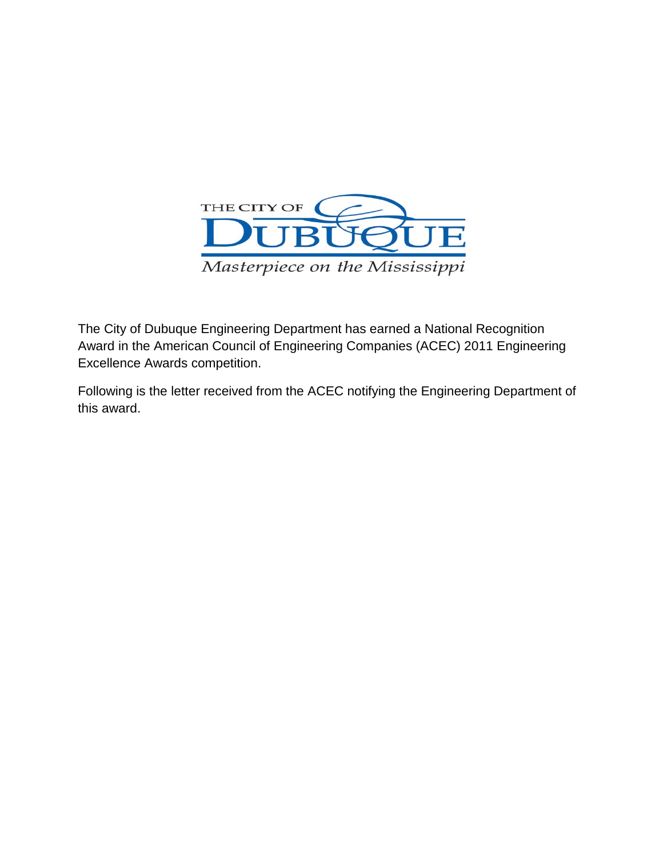

The City of Dubuque Engineering Department has earned a National Recognition Award in the American Council of Engineering Companies (ACEC) 2011 Engineering Excellence Awards competition.

Following is the letter received from the ACEC notifying the Engineering Department of this award.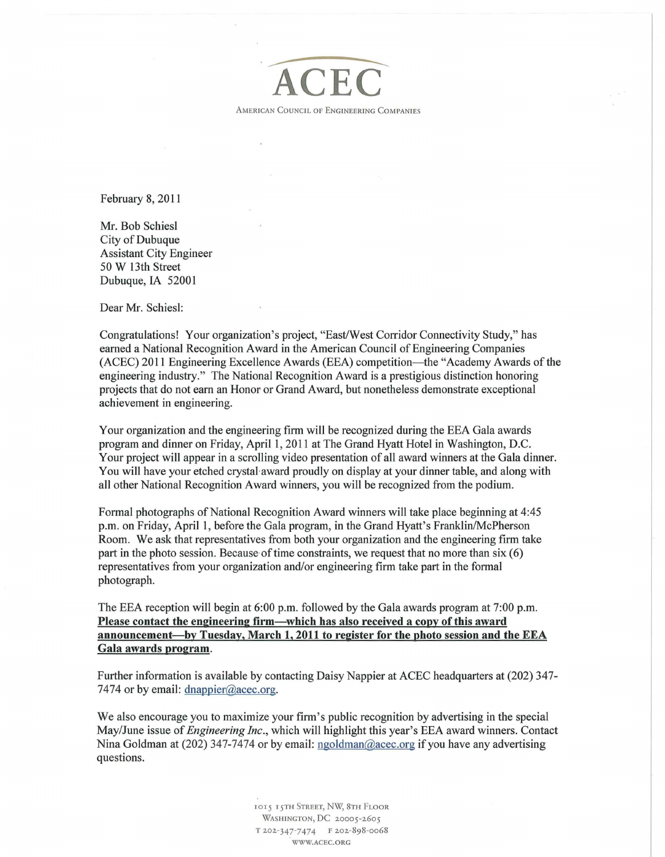

February 8, 2011

Mr. Bob Schiesl City of Dubuque Assistant City Engineer 50 W 13th Street Dubuque, IA 52001

Dear Mr. Schiesl:

Congratulations! Your organization's project, "East/West Corridor Connectivity Study," has earned a National Recognition Award in the American Council of Engineering Companies (ACEC) 2011 Engineering Excellence Awards (EEA) competition—the "Academy Awards of the engineering industry." The National Recognition Award is a prestigious distinction honoring projects that do not earn an Honor or Grand Award, but nonetheless demonstrate exceptional achievement in engineering.

Your organization and the engineering firm will be recognized during the EEA Gala awards program and dinner on Friday, April 1, 2011 at The Grand Hyatt Hotel in Washington, D.C. Your project will appear in a scrolling video presentation of all award winners at the Gala dinner. You will have your etched crystal award proudly on display at your dinner table, and along with all other National Recognition Award winners, you will be recognized from the podium.

Formal photographs of National Recognition Award winners will take place beginning at 4:45 p.m. on Friday, April 1, before the Gala program, in the Grand Hyatt's Franklin/McPherson Room. We ask that representatives from both your organization and the engineering firm take part in the photo session. Because of time constraints, we request that no more than  $six(6)$ representatives from your organization and/or engineering firm take part in the formal photograph.

The EEA reception will begin at 6:00 p.m. followed by the Gala awards program at 7:00 p.m. **Please contact the engineering firm-which has also received a copy of this award announcement-by Tuesday, March 1, 2011 to register for the photo session and the EEA Gala awards program.** 

Further information is available by contacting Daisy Nappier at ACEC headquarters at (202) 347- 7474 or by email: dnappier@acec.org.

We also encourage you to maximize your firm's public recognition by advertising in the special May/June issue of *Engineering Inc.,* which will highlight this year's EEA award winners. Contact Nina Goldman at (202) 347-7474 or by email: ngoldman@acec.org if you have any advertising questions.

> 1015 15TH STREET, NW, 8TH FLOOR WASHINGTON, DC 20005-2605 T 202-347-7474 F 202-898-0068 WWW.ACEC.ORG